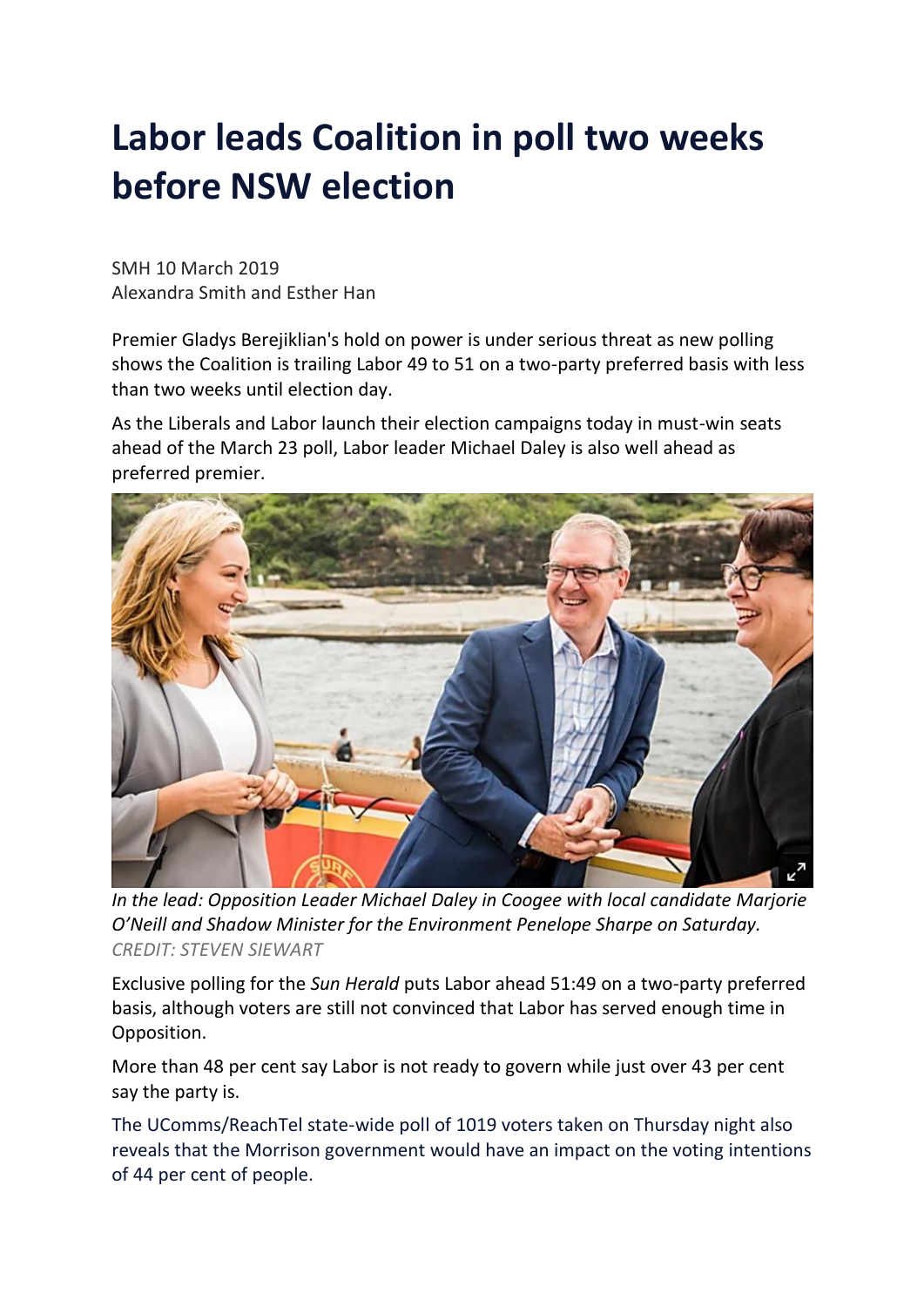## **Labor leads Coalition in poll two weeks before NSW election**

SMH 10 March 2019 Alexandra Smith and Esther Han

Premier Gladys Berejiklian's hold on power is under serious threat as new polling shows the Coalition is trailing Labor 49 to 51 on a two-party preferred basis with less than two weeks until election day.

As the Liberals and Labor launch their election campaigns today in must-win seats ahead of the March 23 poll, Labor leader Michael Daley is also well ahead as preferred premier.



*In the lead: Opposition Leader Michael Daley in Coogee with local candidate Marjorie O'Neill and Shadow Minister for the Environment Penelope Sharpe on Saturday. CREDIT: STEVEN SIEWART*

Exclusive polling for the *Sun Herald* puts Labor ahead 51:49 on a two-party preferred basis, although voters are still not convinced that Labor has served enough time in Opposition.

More than 48 per cent say Labor is not ready to govern while just over 43 per cent say the party is.

The UComms/ReachTel state-wide poll of 1019 voters taken on Thursday night also reveals that the Morrison government would have an impact on the voting intentions of 44 per cent of people.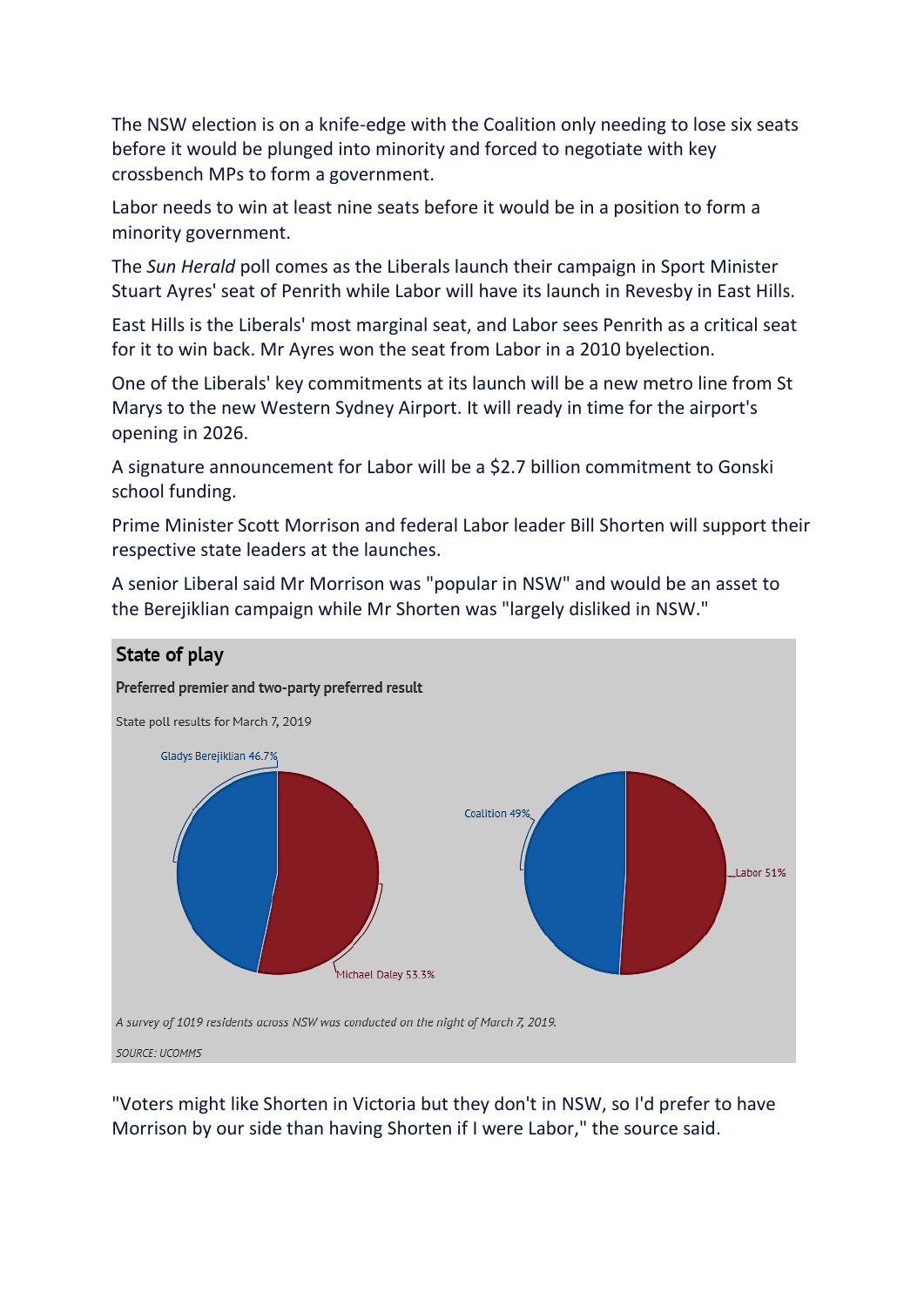The NSW election is on a knife-edge with the Coalition only needing to lose six seats before it would be plunged into minority and forced to negotiate with key crossbench MPs to form a government.

Labor needs to win at least nine seats before it would be in a position to form a minority government.

The *Sun Herald* poll comes as the Liberals launch their campaign in Sport Minister Stuart Ayres' seat of Penrith while Labor will have its launch in Revesby in East Hills.

East Hills is the Liberals' most marginal seat, and Labor sees Penrith as a critical seat for it to win back. Mr Ayres won the seat from Labor in a 2010 byelection.

One of the Liberals' key commitments at its launch will be a new metro line from St Marys to the new Western Sydney Airport. It will ready in time for the airport's opening in 2026.

A signature announcement for Labor will be a \$2.7 billion commitment to Gonski school funding.

Prime Minister Scott Morrison and federal Labor leader Bill Shorten will support their respective state leaders at the launches.



A senior Liberal said Mr Morrison was "popular in NSW" and would be an asset to the Berejiklian campaign while Mr Shorten was "largely disliked in NSW."

"Voters might like Shorten in Victoria but they don't in NSW, so I'd prefer to have Morrison by our side than having Shorten if I were Labor," the source said.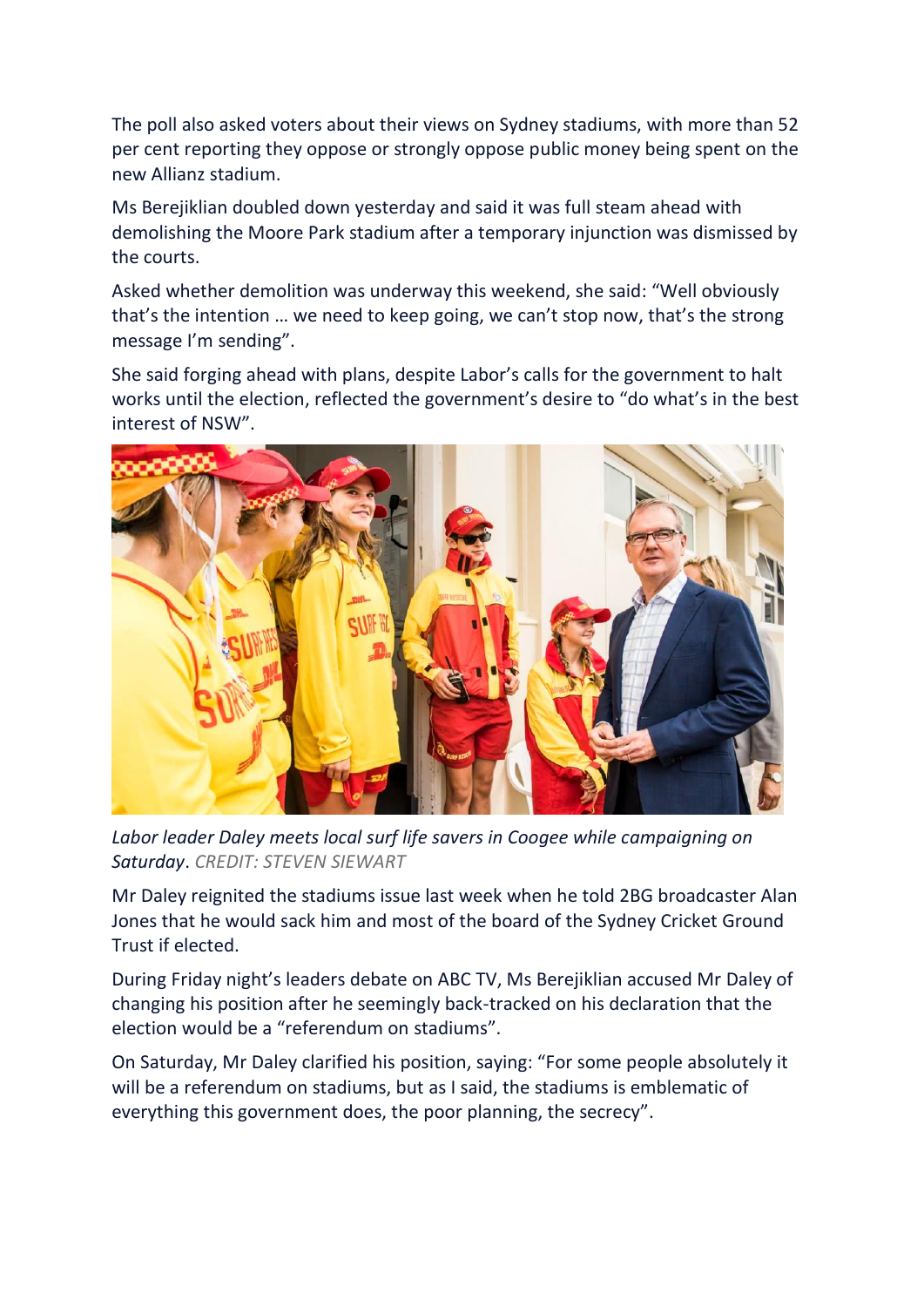The poll also asked voters about their views on Sydney stadiums, with more than 52 per cent reporting they oppose or strongly oppose public money being spent on the new Allianz stadium.

Ms Berejiklian doubled down yesterday and said it was full steam ahead with demolishing the Moore Park stadium after a temporary injunction was dismissed by the courts.

Asked whether demolition was underway this weekend, she said: "Well obviously that's the intention … we need to keep going, we can't stop now, that's the strong message I'm sending".

She said forging ahead with plans, despite Labor's calls for the government to halt works until the election, reflected the government's desire to "do what's in the best interest of NSW".



*Labor leader Daley meets local surf life savers in Coogee while campaigning on Saturday*. *CREDIT: STEVEN SIEWART*

Mr Daley reignited the stadiums issue last week when he told 2BG broadcaster Alan Jones that he would sack him and most of the board of the Sydney Cricket Ground Trust if elected.

During Friday night's leaders debate on ABC TV, Ms Berejiklian accused Mr Daley of changing his position after he seemingly back-tracked on his declaration that the election would be a "referendum on stadiums".

On Saturday, Mr Daley clarified his position, saying: "For some people absolutely it will be a referendum on stadiums, but as I said, the stadiums is emblematic of everything this government does, the poor planning, the secrecy".